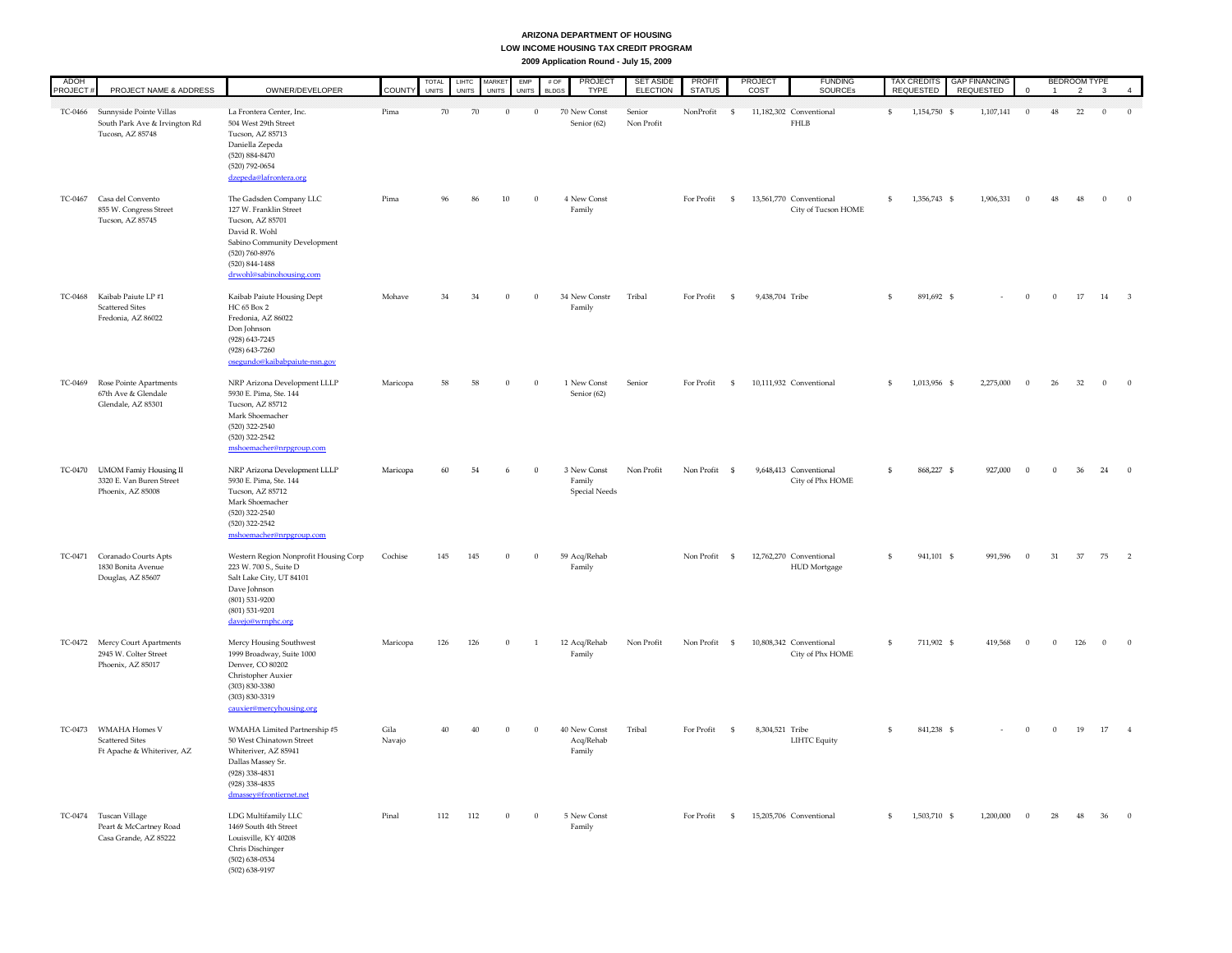## **ARIZONA DEPARTMENT OF HOUSING**

**LOW INCOME HOUSING TAX CREDIT PROGRAM**

**2009 Application Round - July 15, 2009**

| ADOH<br>PROJECT # | PROJECT NAME & ADDRESS                                                               | OWNER/DEVELOPER                                                                                                                                                                            | <b>COUNTY</b>  | <b>TOTAL</b><br><b>UNITS</b> | <b>LIHTC</b><br><b>UNITS</b> | MARKET<br><b>UNITS</b> | EMP<br>UNITS   | <b>PROJECT</b><br># OF<br>TYPE<br><b>BLDGS</b> | <b>SET ASIDE</b><br><b>ELECTION</b> | PROFIT<br><b>STATUS</b> |               | PROJEC <sup>-</sup><br>COST | <b>FUNDING</b><br><b>SOURCES</b>               |              | <b>TAX CREDITS</b><br><b>REQUESTED</b> | <b>GAP FINANCING</b><br>REQUESTED | $\Omega$         | $\overline{1}$   | <b>BEDROOM TYPE</b><br>$\overline{2}$ | 3            |                          |
|-------------------|--------------------------------------------------------------------------------------|--------------------------------------------------------------------------------------------------------------------------------------------------------------------------------------------|----------------|------------------------------|------------------------------|------------------------|----------------|------------------------------------------------|-------------------------------------|-------------------------|---------------|-----------------------------|------------------------------------------------|--------------|----------------------------------------|-----------------------------------|------------------|------------------|---------------------------------------|--------------|--------------------------|
|                   | TC-0466 Sunnyside Pointe Villas<br>South Park Ave & Irvington Rd<br>Tucosn, AZ 85748 | La Frontera Center, Inc.<br>504 West 29th Street<br>Tucson, AZ 85713<br>Daniella Zepeda<br>$(520) 884 - 8470$<br>$(520)$ 792-0654<br>dzepeda@lafrontera.org                                | Pima           | 70                           | 70                           | $\Omega$               | $\Omega$       | 70 New Const<br>Senior (62)                    | Senior<br>Non Profit                | NonProfit               | $\mathbf{s}$  |                             | 11,182,302 Conventional<br><b>FHLB</b>         | S            | 1,154,750 \$                           | 1,107,141                         | $\overline{0}$   | 48               | 22                                    | $\Omega$     | $\overline{0}$           |
|                   | TC-0467 Casa del Convento<br>855 W. Congress Street<br>Tucson, AZ 85745              | The Gadsden Company LLC<br>127 W. Franklin Street<br>Tucson, AZ 85701<br>David R. Wohl<br>Sabino Community Development<br>(520) 760-8976<br>$(520) 844 - 1488$<br>drwohl@sabinohousing.com | Pima           |                              | 86                           | 10                     | $\overline{0}$ | 4 New Const<br>Family                          |                                     | For Profit              | \$            |                             | 13,561,770 Conventional<br>City of Tucson HOME | \$           | 1,356,743 \$                           | 1,906,331                         | $\overline{0}$   | 48               | 48                                    | $\mathbf{0}$ | $\overline{0}$           |
|                   | TC-0468 Kaibab Paiute LP #1<br><b>Scattered Sites</b><br>Fredonia, AZ 86022          | Kaibab Paiute Housing Dept<br>HC 65 Box 2<br>Fredonia, AZ 86022<br>Don Johnson<br>(928) 643-7245<br>(928) 643-7260<br>osegundo@kaibabpaiute-nsn.gov                                        | Mohave         | 34                           | 34                           | $\theta$               | $\theta$       | 34 New Constr<br>Family                        | Tribal                              | For Profit              | \$            | 9,438,704 Tribe             |                                                | \$           | 891,692 \$                             |                                   | $\boldsymbol{0}$ | $\bf{0}$         | 17                                    | 14 3         |                          |
|                   | TC-0469 Rose Pointe Apartments<br>67th Ave & Glendale<br>Glendale, AZ 85301          | NRP Arizona Development LLLP<br>5930 E. Pima, Ste. 144<br>Tucson, AZ 85712<br>Mark Shoemacher<br>$(520)$ 322-2540<br>$(520)$ 322-2542<br>mshoemacher@nrpgroup.com                          | Maricopa       | 58                           | 58                           | $\Omega$               | $\Omega$       | 1 New Const<br>Senior (62)                     | Senior                              | For Profit              | \$            |                             | 10,111,932 Conventional                        | \$.          | 1,013,956 \$                           | 2,275,000                         | $\theta$         | 26               | 32                                    | $\Omega$     | $\sqrt{0}$               |
|                   | TC-0470 UMOM Famiy Housing II<br>3320 E. Van Buren Street<br>Phoenix, AZ 85008       | NRP Arizona Development LLLP<br>5930 E. Pima, Ste. 144<br>Tucson, AZ 85712<br>Mark Shoemacher<br>$(520)$ 322-2540<br>(520) 322-2542<br>mshoemacher@nrpgroup.com                            | Maricopa       | 60                           | 54                           | 6                      | $\Omega$       | 3 New Const<br>Family<br>Special Needs         | Non Profit                          | Non Profit \$           |               |                             | 9,648,413 Conventional<br>City of Phx HOME     | \$.          | 868,227 \$                             | 927.000                           | $\Omega$         | $\Omega$         | 36                                    | 24 0         |                          |
|                   | TC-0471 Coranado Courts Apts<br>1830 Bonita Avenue<br>Douglas, AZ 85607              | Western Region Nonprofit Housing Corp<br>223 W. 700 S., Suite D<br>Salt Lake City, UT 84101<br>Dave Johnson<br>$(801)$ 531-9200<br>$(801) 531 - 9201$<br>davejo@wrnphc.org                 | Cochise        | 145                          | 145                          | $\Omega$               | $\Omega$       | 59 Acq/Rehab<br>Family                         |                                     | Non Profit \$           |               |                             | 12,762,270 Conventional<br>HUD Mortgage        | ፍ            | 941,101 \$                             | 991,596                           | $\Omega$         | 31               | 37                                    | 75           | $\overline{\phantom{a}}$ |
|                   | TC-0472 Mercy Court Apartments<br>2945 W. Colter Street<br>Phoenix, AZ 85017         | Mercy Housing Southwest<br>1999 Broadway, Suite 1000<br>Denver, CO 80202<br>Christopher Auxier<br>$(303) 830 - 3380$<br>(303) 830-3319<br>cauxier@mercyhousing.org                         | Maricopa       | 126                          | 126                          | $\Omega$               | $\overline{1}$ | 12 Acq/Rehab<br>Family                         | Non Profit                          | Non Profit \$           |               |                             | 10,808,342 Conventional<br>City of Phx HOME    | \$.          | 711,902 \$                             | 419,568                           | $\Omega$         | $\Omega$         | 126                                   | $\mathbf{0}$ | $\overline{0}$           |
|                   | TC-0473 WMAHA Homes V<br><b>Scattered Sites</b><br>Ft Apache & Whiteriver, AZ        | WMAHA Limited Partnership #5<br>50 West Chinatown Street<br>Whiteriver, AZ 85941<br>Dallas Massey Sr.<br>(928) 338-4831<br>$(928)$ 338-4835<br>dmassey@frontiernet.net                     | Gila<br>Navajo | 40                           | 40                           |                        | $\theta$       | 40 New Const<br>Acq/Rehab<br>Family            | Tribal                              | For Profit              | $\mathbf{s}$  | 8,304,521 Tribe             | <b>LIHTC</b> Equity                            | \$           | 841,238 \$                             |                                   | $\mathbf{0}$     | $\boldsymbol{0}$ | 19                                    | 17 4         |                          |
|                   | TC-0474 Tuscan Village<br>Peart & McCartney Road<br>Casa Grande, AZ 85222            | LDG Multifamily LLC<br>1469 South 4th Street<br>Louisville, KY 40208<br>Chris Dischinger<br>$(502) 638 - 0534$<br>$(502) 638 - 9197$                                                       | Pinal          | 112                          | 112                          | $\Omega$               | $\Omega$       | 5 New Const<br>Family                          |                                     | For Profit              | $\mathcal{S}$ |                             | 15,205,706 Conventional                        | $\mathbf{s}$ | 1,503,710 \$                           | 1.200.000                         | $\overline{0}$   | 28               | 48                                    | 36           | $\overline{0}$           |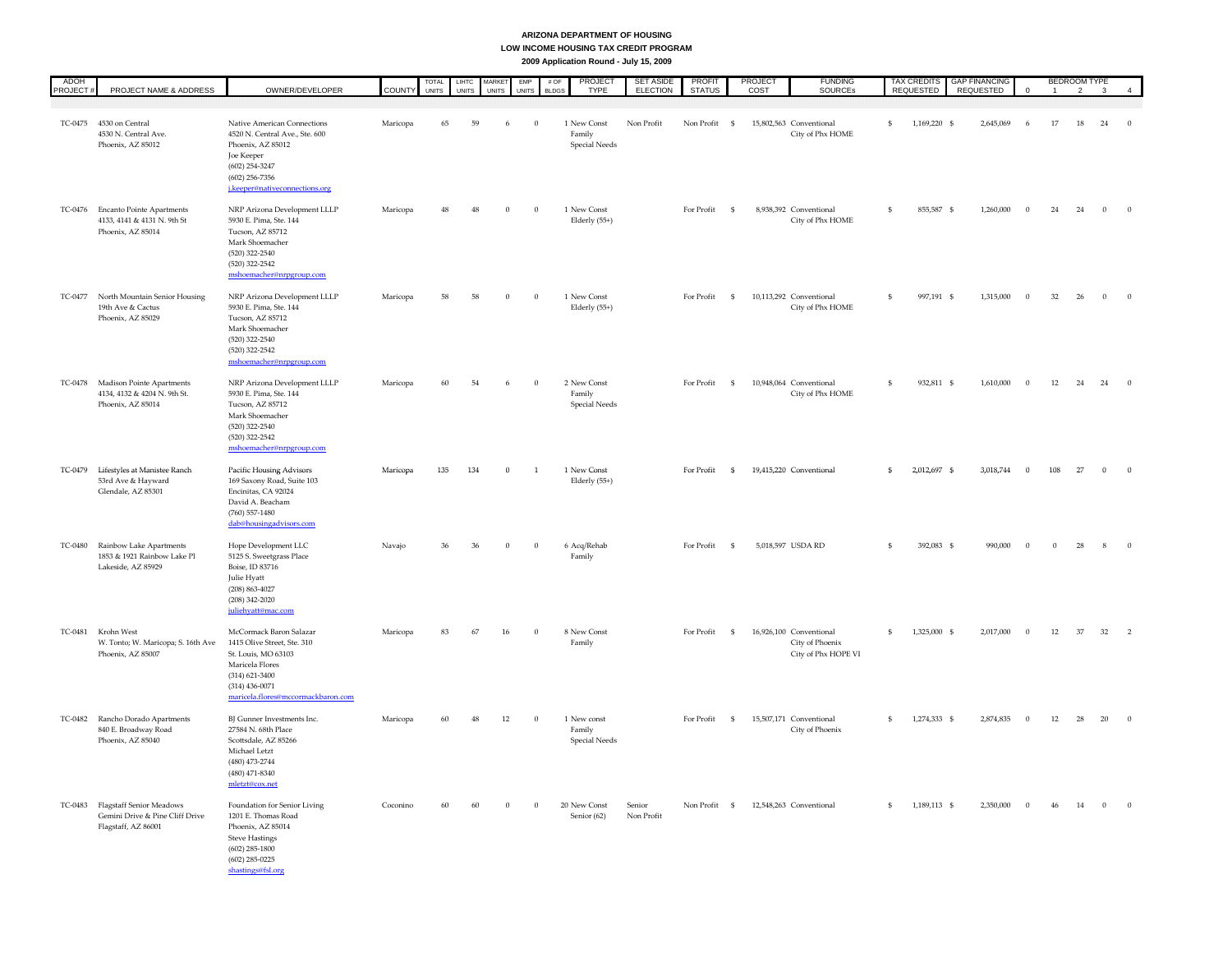## **ARIZONA DEPARTMENT OF HOUSING**

**LOW INCOME HOUSING TAX CREDIT PROGRAM**

**2009 Application Round - July 15, 2009**

| ADOH<br>PROJECT # | PROJECT NAME & ADDRESS                                                                     | OWNER/DEVELOPER                                                                                                                                                                  | <b>COUNTY</b> | <b>TOTAL</b><br><b>UNITS</b> | <b>LIHTC</b><br><b>UNITS</b> | <b>MARKET</b><br><b>UNITS</b><br><b>UNITS</b> | EMP<br># OF<br>BLDGS | PROJEC<br><b>TYPE</b>                  | <b>SET ASIDE</b><br><b>ELECTION</b> | <b>PROFIT</b><br><b>STATUS</b> |                    | <b>PROJECT</b><br>COST | <b>FUNDING</b><br>SOURCES                                         | <b>TAX CREDITS</b><br><b>REQUESTED</b> | <b>GAP FINANCING</b><br>REQUESTED | $\Omega$       | $\overline{1}$ | <b>BEDROOM TYPE</b><br>$\overline{2}$ | $\overline{3}$ |                          |
|-------------------|--------------------------------------------------------------------------------------------|----------------------------------------------------------------------------------------------------------------------------------------------------------------------------------|---------------|------------------------------|------------------------------|-----------------------------------------------|----------------------|----------------------------------------|-------------------------------------|--------------------------------|--------------------|------------------------|-------------------------------------------------------------------|----------------------------------------|-----------------------------------|----------------|----------------|---------------------------------------|----------------|--------------------------|
|                   | TC-0475 4530 on Central<br>4530 N. Central Ave.<br>Phoenix, AZ 85012                       | Native American Connections<br>4520 N. Central Ave., Ste. 600<br>Phoenix, AZ 85012<br>Joe Keeper<br>$(602)$ 254-3247<br>$(602)$ 256-7356<br>j.keeper@nativeconnections.org       | Maricopa      | 65                           | 59                           | 6                                             | $\Omega$             | 1 New Const<br>Family<br>Special Needs | Non Profit                          | Non Profit                     | $\mathfrak{s}$     |                        | 15,802,563 Conventional<br>City of Phx HOME                       | 1,169,220 \$<br>\$                     | 2,645,069                         | - 6            | 17             | 18                                    | 24             | $\overline{0}$           |
|                   | TC-0476 Encanto Pointe Apartments<br>4133, 4141 & 4131 N. 9th St<br>Phoenix, AZ 85014      | NRP Arizona Development LLLP<br>5930 E. Pima, Ste. 144<br>Tucson, AZ 85712<br>Mark Shoemacher<br>(520) 322-2540<br>(520) 322-2542<br>mshoemacher@nrpgroup.com                    | Maricopa      |                              | 48                           | $\mathbf{0}$                                  | $\theta$             | 1 New Const<br>Elderly (55+)           |                                     | For Profit                     | $\mathfrak{s}$     |                        | 8,938,392 Conventional<br>City of Phx HOME                        | \$<br>855,587 \$                       | 1,260,000                         | $\overline{0}$ | 24             | 24                                    | $\mathbf{0}$   | $\overline{0}$           |
|                   | TC-0477 North Mountain Senior Housing<br>19th Ave & Cactus<br>Phoenix, AZ 85029            | NRP Arizona Development LLLP<br>5930 E. Pima, Ste. 144<br>Tucson, AZ 85712<br>Mark Shoemacher<br>(520) 322-2540<br>(520) 322-2542<br>mshoemacher@nrpgroup.com                    | Maricopa      | 58                           | 58                           | $\Omega$                                      | $\overline{0}$       | 1 New Const<br>Elderly (55+)           |                                     | For Profit                     | $\mathfrak{s}$     |                        | 10,113,292 Conventional<br>City of Phx HOME                       | 997,191 \$<br>\$                       | 1,315,000                         | $\Omega$       | 32             | 26                                    | $\Omega$       | $\overline{0}$           |
|                   | TC-0478 Madison Pointe Apartments<br>4134, 4132 & 4204 N. 9th St.<br>Phoenix, AZ 85014     | NRP Arizona Development LLLP<br>5930 E. Pima, Ste. 144<br>Tucson, AZ 85712<br>Mark Shoemacher<br>(520) 322-2540<br>$(520)$ 322-2542<br>mshoemacher@nrpgroup.com                  | Maricopa      | 60                           | 54                           | 6                                             | $\Omega$             | 2 New Const<br>Family<br>Special Needs |                                     | For Profit                     | $\mathbf{\hat{s}}$ |                        | 10,948,064 Conventional<br>City of Phx HOME                       | 932,811 \$<br>\$                       | 1,610,000                         | $\Omega$       | 12             | 24                                    | 24 0           |                          |
|                   | TC-0479 Lifestyles at Manistee Ranch<br>53rd Ave & Hayward<br>Glendale, AZ 85301           | Pacific Housing Advisors<br>169 Saxony Road, Suite 103<br>Encinitas, CA 92024<br>David A. Beacham<br>$(760)$ 557-1480<br>dab@housingadvisors.com                                 | Maricopa      | 135                          | 134                          | $\Omega$                                      | $\overline{1}$       | 1 New Const<br>Elderly (55+)           |                                     | For Profit                     | - S                |                        | 19,415,220 Conventional                                           | 2,012,697 \$<br>\$.                    | 3,018,744                         | $\Omega$       | 108            | 27                                    | $\Omega$       | $\sqrt{0}$               |
|                   | TC-0480 Rainbow Lake Apartments<br>1853 & 1921 Rainbow Lake Pl<br>Lakeside, AZ 85929       | Hope Development LLC<br>5125 S. Sweetgrass Place<br>Boise, ID 83716<br>Julie Hyatt<br>(208) 863-4027<br>$(208)$ 342-2020<br>juliehyatt@mac.com                                   | Navajo        |                              | 36                           | $\bf{0}$                                      | $\overline{0}$       | 6 Acq/Rehab<br>Family                  |                                     | For Profit                     | -\$                |                        | 5,018,597 USDA RD                                                 | \$<br>392,083 \$                       | 990,000                           | $\Omega$       |                | 28                                    |                |                          |
|                   | TC-0481 Krohn West<br>W. Tonto; W. Maricopa; S. 16th Ave<br>Phoenix, AZ 85007              | McCormack Baron Salazar<br>1415 Olive Street, Ste. 310<br>St. Louis, MO 63103<br>Maricela Flores<br>$(314) 621 - 3400$<br>$(314)$ 436-0071<br>maricela.flores@mccormackbaron.com | Maricopa      | 83                           | 67                           | 16                                            | $\Omega$             | 8 New Const<br>Family                  |                                     | For Profit                     | $\mathfrak{s}$     |                        | 16,926,100 Conventional<br>City of Phoenix<br>City of Phx HOPE VI | 1,325,000 \$<br>\$                     | 2,017,000                         | $\Omega$       | 12             | 37                                    | 32             | $\overline{\phantom{a}}$ |
|                   | TC-0482 Rancho Dorado Apartments<br>840 E. Broadway Road<br>Phoenix, AZ 85040              | BJ Gunner Investments Inc.<br>27584 N. 68th Place<br>Scottsdale, AZ 85266<br>Michael Letzt<br>$(480)$ 473-2744<br>$(480)$ 471-8340<br>mletzt@cox.net                             | Maricopa      | 60                           | 48                           | 12                                            | $\Omega$             | 1 New const<br>Family<br>Special Needs |                                     | For Profit                     | $\mathfrak{s}$     |                        | 15,507,171 Conventional<br>City of Phoenix                        | 1,274,333 \$<br>\$                     | 2,874,835                         | $\Omega$       | 12             | 28                                    | 20             |                          |
|                   | TC-0483 Flagstaff Senior Meadows<br>Gemini Drive & Pine Cliff Drive<br>Flagstaff, AZ 86001 | Foundation for Senior Living<br>1201 E. Thomas Road<br>Phoenix, AZ 85014<br><b>Steve Hastings</b><br>$(602)$ 285-1800<br>$(602)$ 285-0225<br>shastings@fsl.org                   | Coconino      | 60                           |                              |                                               | $\theta$             | 20 New Const<br>Senior (62)            | Senior<br>Non Profit                | Non Profit                     | - \$               |                        | 12,548,263 Conventional                                           | 1,189,113 \$<br>Ŝ                      | 2,350,000                         | $\Omega$       |                | 14                                    | $\Omega$       |                          |